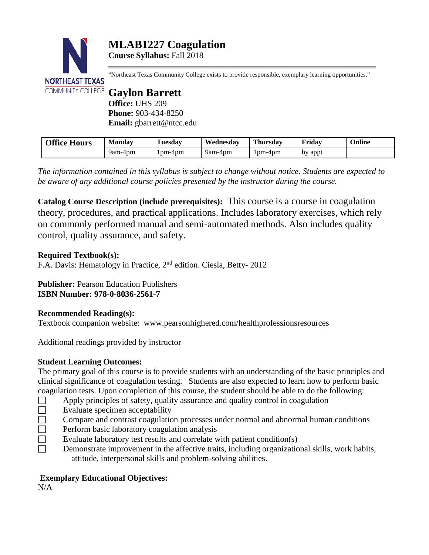

"Northeast Texas Community College exists to provide responsible, exemplary learning opportunities."

**Office:** UHS 209 **Phone:** 903-434-8250 **Email:** gbarrett@ntcc.edu

| <b>Office Hours</b> | Mondav  | Tuesdav | Wednesdav | <b>Thursday</b> | Friday  | Online |
|---------------------|---------|---------|-----------|-----------------|---------|--------|
|                     | 9am-4pm | 1pm-4pm | 9am-4pm   | 1pm-4pm         | by appt |        |

*The information contained in this syllabus is subject to change without notice. Students are expected to be aware of any additional course policies presented by the instructor during the course.*

**Catalog Course Description (include prerequisites):** This course is a course in coagulation theory, procedures, and practical applications. Includes laboratory exercises, which rely on commonly performed manual and semi-automated methods. Also includes quality control, quality assurance, and safety.

# **Required Textbook(s):**

F.A. Davis: Hematology in Practice, 2nd edition. Ciesla, Betty- 2012

**Publisher:** Pearson Education Publishers **ISBN Number: 978-0-8036-2561-7**

## **Recommended Reading(s):**

Textbook companion website: www.pearsonhighered.com/healthprofessionsresources

Additional readings provided by instructor

# **Student Learning Outcomes:**

The primary goal of this course is to provide students with an understanding of the basic principles and clinical significance of coagulation testing. Students are also expected to learn how to perform basic coagulation tests. Upon completion of this course, the student should be able to do the following:

- $\Box$  Apply principles of safety, quality assurance and quality control in coagulation
- $\square$  Evaluate specimen acceptability
- Compare and contrast coagulation processes under normal and abnormal human conditions
- $\Box$  Perform basic laboratory coagulation analysis
- Evaluate laboratory test results and correlate with patient condition(s)<br>
Demonstrate improvement in the affective traits, including organization
- Demonstrate improvement in the affective traits, including organizational skills, work habits, attitude, interpersonal skills and problem-solving abilities.

# **Exemplary Educational Objectives:**

N/A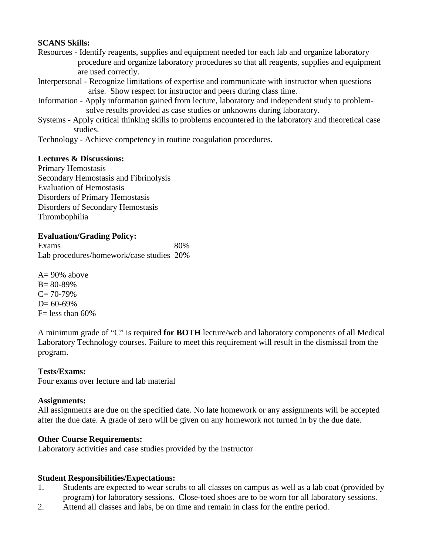### **SCANS Skills:**

- Resources Identify reagents, supplies and equipment needed for each lab and organize laboratory procedure and organize laboratory procedures so that all reagents, supplies and equipment are used correctly.
- Interpersonal Recognize limitations of expertise and communicate with instructor when questions arise. Show respect for instructor and peers during class time.
- Information Apply information gained from lecture, laboratory and independent study to problem solve results provided as case studies or unknowns during laboratory.
- Systems Apply critical thinking skills to problems encountered in the laboratory and theoretical case studies.
- Technology Achieve competency in routine coagulation procedures.

### **Lectures & Discussions:**

Primary Hemostasis Secondary Hemostasis and Fibrinolysis Evaluation of Hemostasis Disorders of Primary Hemostasis Disorders of Secondary Hemostasis Thrombophilia

# **Evaluation/Grading Policy:**

| Exams                                    | 80% |
|------------------------------------------|-----|
| Lab procedures/homework/case studies 20% |     |

 $A= 90\%$  above B= 80-89%  $C = 70-79%$  $D= 60-69%$  $F=$  less than 60%

A minimum grade of "C" is required **for BOTH** lecture/web and laboratory components of all Medical Laboratory Technology courses. Failure to meet this requirement will result in the dismissal from the program.

## **Tests/Exams:**

Four exams over lecture and lab material

#### **Assignments:**

All assignments are due on the specified date. No late homework or any assignments will be accepted after the due date. A grade of zero will be given on any homework not turned in by the due date.

#### **Other Course Requirements:**

Laboratory activities and case studies provided by the instructor

#### **Student Responsibilities/Expectations:**

- 1. Students are expected to wear scrubs to all classes on campus as well as a lab coat (provided by program) for laboratory sessions. Close-toed shoes are to be worn for all laboratory sessions.
- 2. Attend all classes and labs, be on time and remain in class for the entire period.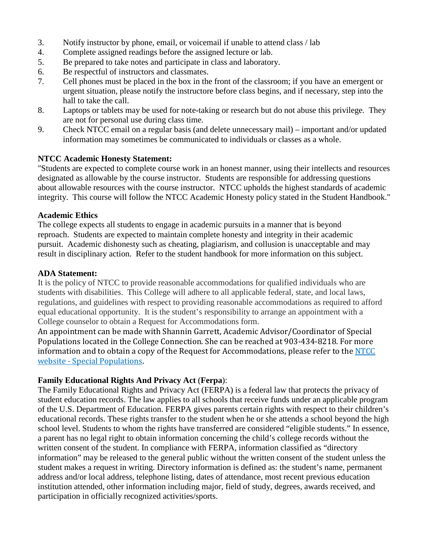- 3. Notify instructor by phone, email, or voicemail if unable to attend class / lab
- 4. Complete assigned readings before the assigned lecture or lab.
- 5. Be prepared to take notes and participate in class and laboratory.
- 6. Be respectful of instructors and classmates.
- 7. Cell phones must be placed in the box in the front of the classroom; if you have an emergent or urgent situation, please notify the instructore before class begins, and if necessary, step into the hall to take the call.
- 8. Laptops or tablets may be used for note-taking or research but do not abuse this privilege. They are not for personal use during class time.
- 9. Check NTCC email on a regular basis (and delete unnecessary mail) important and/or updated information may sometimes be communicated to individuals or classes as a whole.

#### **NTCC Academic Honesty Statement:**

"Students are expected to complete course work in an honest manner, using their intellects and resources designated as allowable by the course instructor. Students are responsible for addressing questions about allowable resources with the course instructor. NTCC upholds the highest standards of academic integrity. This course will follow the NTCC Academic Honesty policy stated in the Student Handbook."

#### **Academic Ethics**

The college expects all students to engage in academic pursuits in a manner that is beyond reproach. Students are expected to maintain complete honesty and integrity in their academic pursuit. Academic dishonesty such as cheating, plagiarism, and collusion is unacceptable and may result in disciplinary action. Refer to the student handbook for more information on this subject.

### **ADA Statement:**

It is the policy of NTCC to provide reasonable accommodations for qualified individuals who are students with disabilities. This College will adhere to all applicable federal, state, and local laws, regulations, and guidelines with respect to providing reasonable accommodations as required to afford equal educational opportunity. It is the student's responsibility to arrange an appointment with a College counselor to obtain a Request for Accommodations form.

An appointment can be made with Shannin Garrett, Academic Advisor/Coordinator of Special Populations located in the College Connection. She can be reached at 903-434-8218. For more information and to obtain a copy of the Request for Accommodations, please refer to the [NTCC](http://www.ntcc.edu/index.php?module=Pagesetter&func=viewpub&tid=111&pid=1)  website - [Special Populations.](http://www.ntcc.edu/index.php?module=Pagesetter&func=viewpub&tid=111&pid=1)

## **Family Educational Rights And Privacy Act** (**Ferpa**):

The Family Educational Rights and Privacy Act (FERPA) is a federal law that protects the privacy of student education records. The law applies to all schools that receive funds under an applicable program of the U.S. Department of Education. FERPA gives parents certain rights with respect to their children's educational records. These rights transfer to the student when he or she attends a school beyond the high school level. Students to whom the rights have transferred are considered "eligible students." In essence, a parent has no legal right to obtain information concerning the child's college records without the written consent of the student. In compliance with FERPA, information classified as "directory information" may be released to the general public without the written consent of the student unless the student makes a request in writing. Directory information is defined as: the student's name, permanent address and/or local address, telephone listing, dates of attendance, most recent previous education institution attended, other information including major, field of study, degrees, awards received, and participation in officially recognized activities/sports.